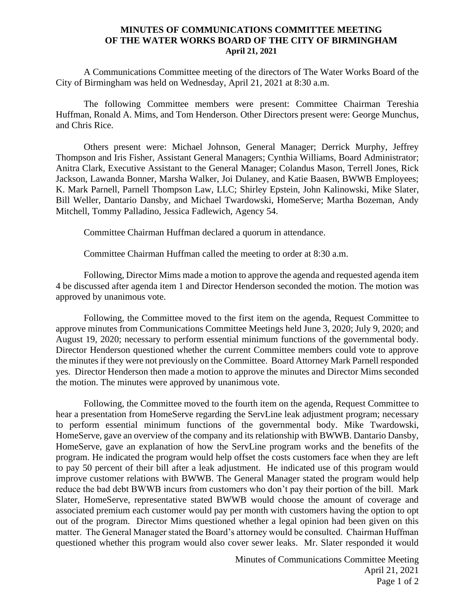## **MINUTES OF COMMUNICATIONS COMMITTEE MEETING OF THE WATER WORKS BOARD OF THE CITY OF BIRMINGHAM April 21, 2021**

A Communications Committee meeting of the directors of The Water Works Board of the City of Birmingham was held on Wednesday, April 21, 2021 at 8:30 a.m.

The following Committee members were present: Committee Chairman Tereshia Huffman, Ronald A. Mims, and Tom Henderson. Other Directors present were: George Munchus, and Chris Rice.

Others present were: Michael Johnson, General Manager; Derrick Murphy, Jeffrey Thompson and Iris Fisher, Assistant General Managers; Cynthia Williams, Board Administrator; Anitra Clark, Executive Assistant to the General Manager; Colandus Mason, Terrell Jones, Rick Jackson, Lawanda Bonner, Marsha Walker, Joi Dulaney, and Katie Baasen, BWWB Employees; K. Mark Parnell, Parnell Thompson Law, LLC; Shirley Epstein, John Kalinowski, Mike Slater, Bill Weller, Dantario Dansby, and Michael Twardowski, HomeServe; Martha Bozeman, Andy Mitchell, Tommy Palladino, Jessica Fadlewich, Agency 54.

Committee Chairman Huffman declared a quorum in attendance.

Committee Chairman Huffman called the meeting to order at 8:30 a.m.

Following, Director Mims made a motion to approve the agenda and requested agenda item 4 be discussed after agenda item 1 and Director Henderson seconded the motion. The motion was approved by unanimous vote.

Following, the Committee moved to the first item on the agenda, Request Committee to approve minutes from Communications Committee Meetings held June 3, 2020; July 9, 2020; and August 19, 2020; necessary to perform essential minimum functions of the governmental body. Director Henderson questioned whether the current Committee members could vote to approve the minutes if they were not previously on the Committee. Board Attorney Mark Parnell responded yes. Director Henderson then made a motion to approve the minutes and Director Mims seconded the motion. The minutes were approved by unanimous vote.

Following, the Committee moved to the fourth item on the agenda, Request Committee to hear a presentation from HomeServe regarding the ServLine leak adjustment program; necessary to perform essential minimum functions of the governmental body. Mike Twardowski, HomeServe, gave an overview of the company and its relationship with BWWB. Dantario Dansby, HomeServe, gave an explanation of how the ServLine program works and the benefits of the program. He indicated the program would help offset the costs customers face when they are left to pay 50 percent of their bill after a leak adjustment. He indicated use of this program would improve customer relations with BWWB. The General Manager stated the program would help reduce the bad debt BWWB incurs from customers who don't pay their portion of the bill. Mark Slater, HomeServe, representative stated BWWB would choose the amount of coverage and associated premium each customer would pay per month with customers having the option to opt out of the program. Director Mims questioned whether a legal opinion had been given on this matter. The General Manager stated the Board's attorney would be consulted. Chairman Huffman questioned whether this program would also cover sewer leaks. Mr. Slater responded it would

> Minutes of Communications Committee Meeting April 21, 2021 Page 1 of 2